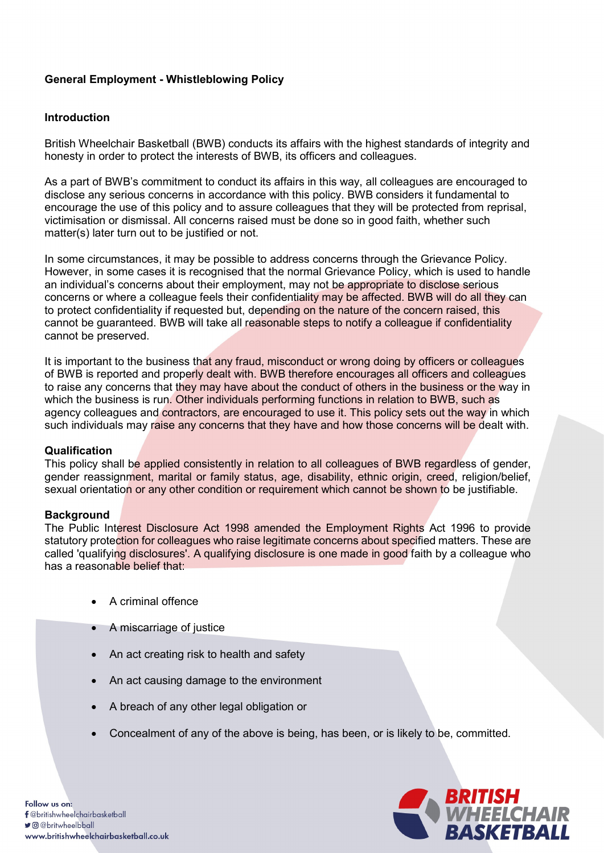# General Employment - Whistleblowing Policy

## Introduction

British Wheelchair Basketball (BWB) conducts its affairs with the highest standards of integrity and honesty in order to protect the interests of BWB, its officers and colleagues.

As a part of BWB's commitment to conduct its affairs in this way, all colleagues are encouraged to disclose any serious concerns in accordance with this policy. BWB considers it fundamental to encourage the use of this policy and to assure colleagues that they will be protected from reprisal, victimisation or dismissal. All concerns raised must be done so in good faith, whether such matter(s) later turn out to be justified or not.

In some circumstances, it may be possible to address concerns through the Grievance Policy. However, in some cases it is recognised that the normal Grievance Policy, which is used to handle an individual's concerns about their employment, may not be appropriate to disclose serious concerns or where a colleague feels their confidentiality may be affected. BWB will do all they can to protect confidentiality if requested but, depending on the nature of the concern raised, this cannot be guaranteed. BWB will take all reasonable steps to notify a colleague if confidentiality cannot be preserved.

It is important to the business that any fraud, misconduct or wrong doing by officers or colleagues of BWB is reported and properly dealt with. BWB therefore encourages all officers and colleagues to raise any concerns that they may have about the conduct of others in the business or the way in which the business is run. Other individuals performing functions in relation to BWB, such as agency colleagues and contractors, are encouraged to use it. This policy sets out the way in which such individuals may raise any concerns that they have and how those concerns will be dealt with.

## **Qualification**

This policy shall be applied consistently in relation to all colleagues of BWB regardless of gender, gender reassignment, marital or family status, age, disability, ethnic origin, creed, religion/belief, sexual orientation or any other condition or requirement which cannot be shown to be justifiable.

## **Background**

The Public Interest Disclosure Act 1998 amended the Employment Rights Act 1996 to provide statutory protection for colleagues who raise legitimate concerns about specified matters. These are called 'qualifying disclosures'. A qualifying disclosure is one made in good faith by a colleague who has a reasonable belief that:

- A criminal offence
- A miscarriage of justice
- An act creating risk to health and safety
- An act causing damage to the environment
- A breach of any other legal obligation or
- Concealment of any of the above is being, has been, or is likely to be, committed.

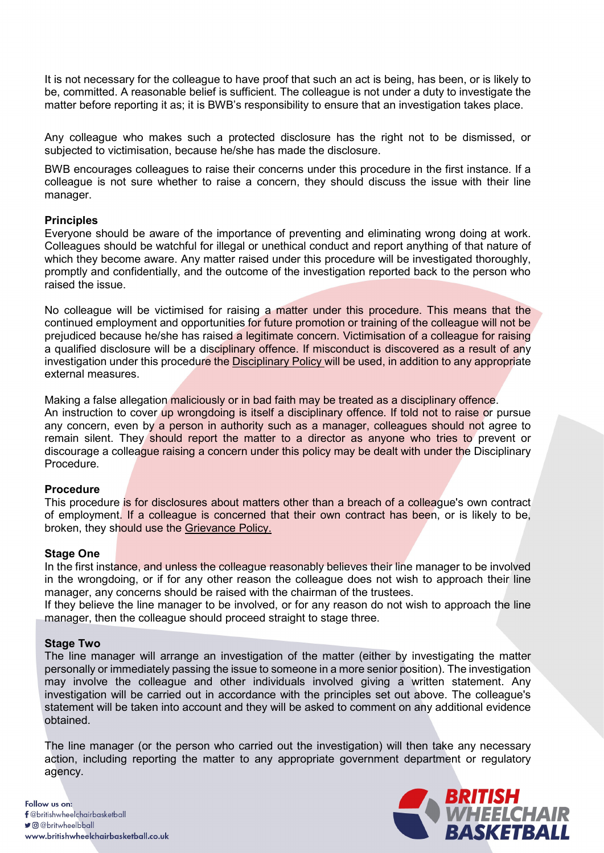It is not necessary for the colleague to have proof that such an act is being, has been, or is likely to be, committed. A reasonable belief is sufficient. The colleague is not under a duty to investigate the matter before reporting it as; it is BWB's responsibility to ensure that an investigation takes place.

Any colleague who makes such a protected disclosure has the right not to be dismissed, or subjected to victimisation, because he/she has made the disclosure.

BWB encourages colleagues to raise their concerns under this procedure in the first instance. If a colleague is not sure whether to raise a concern, they should discuss the issue with their line manager.

## **Principles**

Everyone should be aware of the importance of preventing and eliminating wrong doing at work. Colleagues should be watchful for illegal or unethical conduct and report anything of that nature of which they become aware. Any matter raised under this procedure will be investigated thoroughly, promptly and confidentially, and the outcome of the investigation reported back to the person who raised the issue.

No colleague will be victimised for raising a matter under this procedure. This means that the continued employment and opportunities for future promotion or training of the colleague will not be prejudiced because he/she has raised a legitimate concern. Victimisation of a colleague for raising a qualified disclosure will be a disciplinary offence. If misconduct is discovered as a result of any investigation under this procedure the Disciplinary Policy will be used, in addition to any appropriate external measures.

Making a false allegation maliciously or in bad faith may be treated as a disciplinary offence. An instruction to cover up wrongdoing is itself a disciplinary offence. If told not to raise or pursue any concern, even by a person in authority such as a manager, colleagues should not agree to remain silent. They should report the matter to a director as anyone who tries to prevent or discourage a colleague raising a concern under this policy may be dealt with under the Disciplinary **Procedure** 

#### Procedure

This procedure is for disclosures about matters other than a breach of a colleague's own contract of employment. If a colleague is concerned that their own contract has been, or is likely to be, broken, they should use the Grievance Policy.

#### Stage One

In the first instance, and unless the colleague reasonably believes their line manager to be involved in the wrongdoing, or if for any other reason the colleague does not wish to approach their line manager, any concerns should be raised with the chairman of the trustees.

If they believe the line manager to be involved, or for any reason do not wish to approach the line manager, then the colleague should proceed straight to stage three.

#### Stage Two

The line manager will arrange an investigation of the matter (either by investigating the matter personally or immediately passing the issue to someone in a more senior position). The investigation may involve the colleague and other individuals involved giving a written statement. Any investigation will be carried out in accordance with the principles set out above. The colleague's statement will be taken into account and they will be asked to comment on any additional evidence obtained.

The line manager (or the person who carried out the investigation) will then take any necessary action, including reporting the matter to any appropriate government department or regulatory agency.



Follow us on: f@britishwheelchairbasketball **J** @ @ britwheelbball www.britishwheelchairbasketball.co.uk